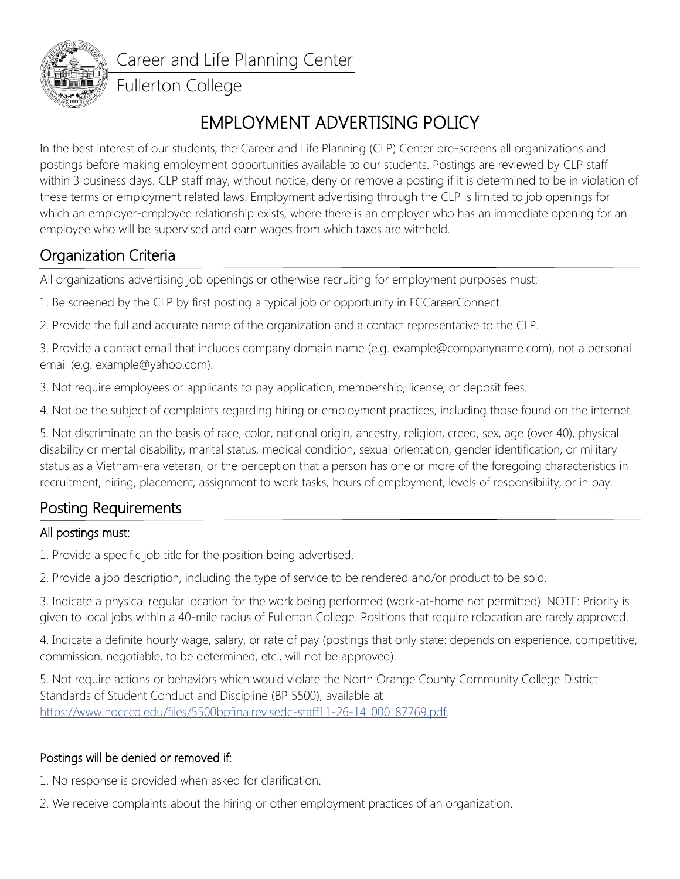

Career and Life Planning Center

### Fullerton College

# EMPLOYMENT ADVERTISING POLICY

In the best interest of our students, the Career and Life Planning (CLP) Center pre-screens all organizations and postings before making employment opportunities available to our students. Postings are reviewed by CLP staff within 3 business days. CLP staff may, without notice, deny or remove a posting if it is determined to be in violation of these terms or employment related laws. Employment advertising through the CLP is limited to job openings for which an employer-employee relationship exists, where there is an employer who has an immediate opening for an employee who will be supervised and earn wages from which taxes are withheld.

# Organization Criteria

All organizations advertising job openings or otherwise recruiting for employment purposes must:

1. Be screened by the CLP by first posting a typical job or opportunity in FCCareerConnect.

2. Provide the full and accurate name of the organization and a contact representative to the CLP.

3. Provide a contact email that includes company domain name (e.g. example@companyname.com), not a personal email (e.g. example@yahoo.com).

3. Not require employees or applicants to pay application, membership, license, or deposit fees.

4. Not be the subject of complaints regarding hiring or employment practices, including those found on the internet.

5. Not discriminate on the basis of race, color, national origin, ancestry, religion, creed, sex, age (over 40), physical disability or mental disability, marital status, medical condition, sexual orientation, gender identification, or military status as a Vietnam-era veteran, or the perception that a person has one or more of the foregoing characteristics in recruitment, hiring, placement, assignment to work tasks, hours of employment, levels of responsibility, or in pay.

### Posting Requirements

### All postings must:

1. Provide a specific job title for the position being advertised.

2. Provide a job description, including the type of service to be rendered and/or product to be sold.

3. Indicate a physical regular location for the work being performed (work-at-home not permitted). NOTE: Priority is given to local jobs within a 40-mile radius of Fullerton College. Positions that require relocation are rarely approved.

4. Indicate a definite hourly wage, salary, or rate of pay (postings that only state: depends on experience, competitive, commission, negotiable, to be determined, etc., will not be approved).

5. Not require actions or behaviors which would violate the North Orange County Community College District Standards of Student Conduct and Discipline (BP 5500), available at [https://www.nocccd.edu/files/5500bpfinalrevisedc-staff11-26-14\\_000\\_87769.pdf.](https://www.nocccd.edu/files/5500bpfinalrevisedc-staff11-26-14_000_87769.pdf)

### Postings will be denied or removed if:

1. No response is provided when asked for clarification.

2. We receive complaints about the hiring or other employment practices of an organization.